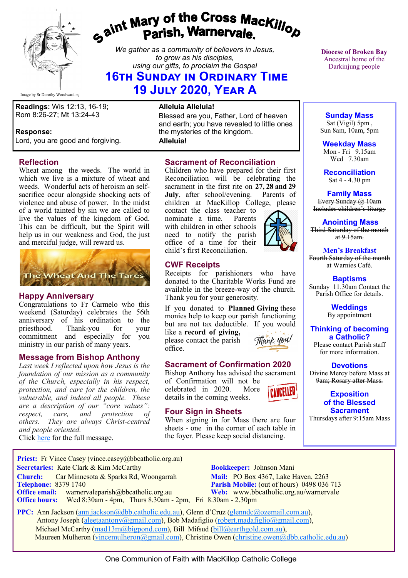

# *Gaint Mary of the Cross MacKillop*<br>*Gaint* **Parish, Warnervale.**

*We gather as a community of believers in Jesus, to grow as his disciples, using our gifts, to proclaim the Gospel*

# **16th Sunday in Ordinary Time 19 July 2020, Year A**

Image by Sr Dorothy Woodward rsj

**Readings:** Wis 12:13, 16-19; Rom 8:26-27; Mt 13:24-43

#### **Response:**

Lord, you are good and forgiving.

#### **Reflection**

Wheat among the weeds. The world in which we live is a mixture of wheat and weeds. Wonderful acts of heroism an selfsacrifice occur alongside shocking acts of violence and abuse of power. In the midst of a world tainted by sin we are called to live the values of the kingdom of God. This can be difficult, but the Spirit will help us in our weakness and God, the just and merciful judge, will reward us.



#### **Happy Anniversary**

Congratulations to Fr Carmelo who this weekend (Saturday) celebrates the 56th anniversary of his ordination to the<br>priesthood. Thank-you for your Thank-you for your commitment and especially for you ministry in our parish of many years.

#### **Message from Bishop Anthony**

*Last week I reflected upon how Jesus is the foundation of our mission as a community of the Church, especially in his respect, protection, and care for the children, the vulnerable, and indeed all people. These are a description of our "core values": respect, care, and protection of others. They are always Christ-centred and people oriented.*

Click [here](https://bbcatholic.us8.list-manage.com/track/click?u=466af249e088db70ab864d088&id=33fea1b077&e=082a8c9b01) for the full message.

#### **Alleluia Alleluia!**

Blessed are you, Father, Lord of heaven and earth; you have revealed to little ones the mysteries of the kingdom.

**Alleluia!**

## **Sacrament of Reconciliation**

Children who have prepared for their first Reconciliation will be celebrating the sacrament in the first rite on **27, 28 and 29 July**, after school/evening. Parents of children at MacKillop College, please

contact the class teacher to<br>nominate a time Parents nominate a time. with children in other schools need to notify the parish office of a time for their child's first Reconciliation.

#### **CWF Receipts**

Receipts for parishioners who have donated to the Charitable Works Fund are available in the breeze-way of the church. Thank you for your generosity.

If you donated to **Planned Giving** these monies help to keep our parish functioning but are not tax deductible. If you would like a **record of giving,** 

please contact the parish office.



#### **Sacrament of Confirmation 2020**

Bishop Anthony has advised the sacrament of Confirmation will not be celebrated in 2020. More CANCELLED details in the coming weeks.

#### **Four Sign in Sheets**

When signing in for Mass there are four sheets - one in the corner of each table in the foyer. Please keep social distancing.

**Diocese of Broken Bay**  Ancestral home of the Darkinjung people

**Sunday Mass** Sat (Vigil) 5pm , Sun 8am, 10am, 5pm

**Weekday Mass** Mon - Fri 9.15am Wed 7.30am

**Reconciliation** Sat 4 - 4.30 pm

**Family Mass**  Every Sunday @ 10am Includes children's liturgy

**Anointing Mass** Third Saturday of the month  $at 9.15am.$ 

**Men's Breakfast** Fourth Saturday of the month at Warnies Café.

**Baptisms** Sunday 11.30am Contact the Parish Office for details.

> **Weddings**  By appointment

**Thinking of becoming a Catholic?** Please contact Parish staff

for more information.

**Devotions** Divine Mercy before Mass at 9am; Rosary after Mass.

> **Exposition of the Blessed Sacrament**

Thursdays after 9:15am Mass

**Priest:** Fr Vince Casey (vince.casey@bbcatholic.org.au) **Secretaries:** Kate Clark & Kim McCarthy **Bookkeeper:** Johnson Mani

**Office hours:** Wed 8:30am - 4pm, Thurs 8.30am - 2pm, Fri 8.30am - 2.30pm

**Church:** Car Minnesota & Sparks Rd, Woongarrah **Mail:** PO Box 4367, Lake Haven, 2263<br> **Telephone:** 8379 1740 **Parish Mobile:** (out of hours) 0498 036 **Parish Mobile:** (out of hours) 0498 036 713 **Office email:** warnervaleparish@bbcatholic.org.au **Web:** [www.bbcatholic.org.au/warnervale](https://www.bbcatholic.org.au/warnervale)

 **PPC:** Ann Jackson ([ann.jackson@dbb.catholic.edu.au\),](mailto:ann.jackson@dbb.catholic.edu.au) Glenn d'Cruz ([glenndc@ozemail.com.au\)](mailto:glenndc@ozemail.com.au), Antony Joseph ([aleetaantony@gmail.com\),](mailto:aleetaantony@gmail.com) Bob Madafiglio [\(robert.madafiglio@gmail.com\),](mailto:robert.madafiglio@gmail.com) Michael McCarthy ([mad13m@bigpond.com\)](mailto:mad13m@bigpond.com), Bill Mifsud ([bill@earthgold.com.au\),](mailto:bill@earthgold.com.au) Maureen Mulheron ([vincemulheron@gmail.com\)](mailto:vincemulheron@gmail.com), Christine Owen (christine.owen[@dbb.catholic.edu.au\)](mailto:ann.jackson@dbb.catholic.edu.au)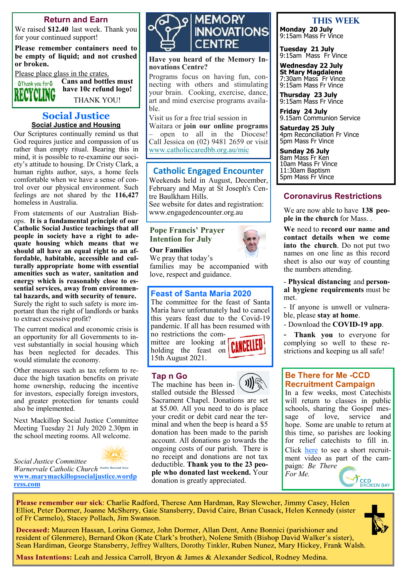#### **Return and Earn**

We raised **\$12.40** last week. Thank you for your continued support!

**Please remember containers need to be empty of liquid; and not crushed or broken.** 

Please place glass in the crates. **Cans and bottles must** 

**OThank you for O** ING

> **Social Justice Social Justice and Housing**

**have 10c refund logo!** THANK YOU!

Our Scriptures continually remind us that God requires justice and compassion of us rather than empty ritual. Bearing this in mind, it is possible to re-examine our society's attitude to housing. Dr Cristy Clark, a human rights author, says, a home feels comfortable when we have a sense of control over our physical environment. Such feelings are not shared by the **116,427** homeless in Australia.

From statements of our Australian Bishops. **It is a fundamental principle of our Catholic Social Justice teachings that all people in society have a right to adequate housing which means that we should all have an equal right to an affordable, habitable, accessible and culturally appropriate home with essential amenities such as water, sanitation and energy which is reasonably close to essential services, away from environmental hazards, and with security of tenure.** Surely the right to such safety is more important than the right of landlords or banks to extract excessive profit?

The current medical and economic crisis is an opportunity for all Governments to invest substantially in social housing which has been neglected for decades. This would stimulate the economy.

Other measures such as tax reform to reduce the high taxation benefits on private home ownership, reducing the incentive for investors, especially foreign investors, and greater protection for tenants could also be implemented.

Next Mackillop Social Justice Committee Meeting Tuesday 21 July 2020 2.30pm in the school meeting rooms. All welcome.



*Social Justice Committee Warnervale Catholic Church* **[www.marymackillopsocialjustice.wordp](http://www.marymackillopsocialjustice.wordpress.com) [ress.com](http://www.marymackillopsocialjustice.wordpress.com)**



**Have you heard of the Memory Innovations Centre?**

Programs focus on having fun, connecting with others and stimulating your brain. Cooking, exercise, dance, art and mind exercise programs available.

Visit us for a free trial session in

Waitara or **join our online programs**  – open to all in the Diocese! Call Jessica on (02) 9481 2659 or visit [www.catholiccaredbb.org.au/mic](https://bbcatholic.us8.list-manage.com/track/click?u=466af249e088db70ab864d088&id=107371d2b5&e=e312df0f80)

#### **Catholic Engaged Encounter**

Weekends held in August, December, February and May at St Joseph's Centre Baulkham Hills. See website for dates and registration:

www.engagedencounter.org.au

#### **Pope Francis' Prayer Intention for July**

**Our Families**

We pray that today's families may be accompanied with love, respect and guidance.

#### **Feast of Santa Maria 2020**

The committee for the feast of Santa Maria have unfortunately had to cancel this years feast due to the Covid-19 pandemic. If all has been resumed with no restrictions the com-

mittee are looking at holding the feast on 15th August 2021.



#### **Tap n Go**

The machine has been installed outside the Blessed

Sacrament Chapel. Donations are set at \$5.00. All you need to do is place your credit or debit card near the terminal and when the beep is heard a \$5 donation has been made to the parish account. All donations go towards the ongoing costs of our parish. There is no receipt and donations are not tax deductible. **Thank you to the 23 people who donated last weekend.** Your donation is greatly appreciated.

#### **This week**

**Monday 20 July** 9:15am Mass Fr Vince

**Tuesday 21 July** 9:15am Mass Fr Vince

**Wednesday 22 July St Mary Magdalene** 7:30am Mass Fr Vince 9:15am Mass Fr Vince

**Thursday 23 July** 9:15am Mass Fr Vince

**Friday 24 July** 9.15am Communion Service

**Saturday 25 July** 4pm Reconciliation Fr Vince 5pm Mass Fr Vince

**Sunday 26 July** 8am Mass Fr Ken 10am Mass Fr Vince 11:30am Baptism 5pm Mass Fr Vince

#### **Coronavirus Restrictions**

We are now able to have **138 people in the church** for Mass. .

**We** need to **record our name and contact details when we come into the church**. Do not put two names on one line as this record sheet is also our way of counting the numbers attending.

- **Physical distancing** and **personal hygiene requirements** must be met.

- If anyone is unwell or vulnerable, please **stay at home**.

- Download the **COVID-19 app**.

- **Thank you** to everyone for complying so well to these restrictions and keeping us all safe!

#### **Be There for Me -CCD Recruitment Campaign**

In a few weeks, most Catechists will return to classes in public schools, sharing the Gospel mes-<br>sage of love, service and sage of love, service and hope. Some are unable to return at this time, so parishes are looking for relief catechists to fill in. Click [here](https://bbcatholic.us8.list-manage.com/track/click?u=466af249e088db70ab864d088&id=276763f349&e=082a8c9b01) to see a short recruitment video as part of the campaign: *Be There* 

*For Me.*

Please remember our sick: Charlie Radford, Therese Ann Hardman, Ray Slewcher, Jimmy Casey, Helen Elliot, Peter Dormer, Joanne McSherry, Gaie Stansberry, David Caire, Brian Cusack, Helen Kennedy (sister of Fr Carmelo), Stacey Pollach, Jim Swanson.

Deceased: Maureen Hassan, Lorina Gomez, John Dormer, Allan Dent, Anne Bonnici (parishioner and resident of Glenmere), Bernard Okon (Kate Clark's brother), Nolene Smith (Bishop David Walker's sister), Sean Hardiman, George Stansberry, Jeffrey Wallters, Dorothy Tinkler, Ruben Nunez, Mary Hickey, Frank Walsh.



**CCD**<br>BROKEN BAY

Mass Intentions: Leah and Jessica Carroll, Bryon & James & Alexander Sedicol, Rodney Medina.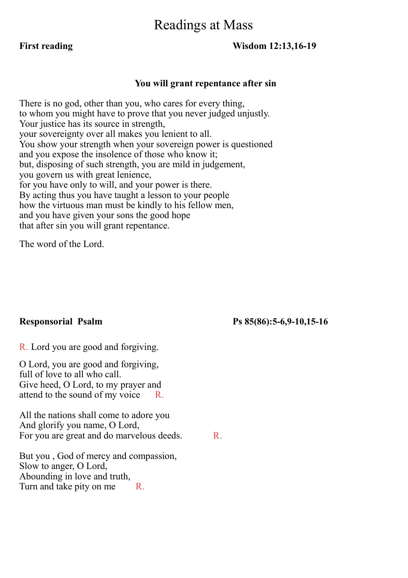# Readings at Mass

#### **First reading Wisdom 12:13,16-19**

#### **You will grant repentance after sin**

There is no god, other than you, who cares for every thing, to whom you might have to prove that you never judged unjustly. Your justice has its source in strength, your sovereignty over all makes you lenient to all. You show your strength when your sovereign power is questioned and you expose the insolence of those who know it; but, disposing of such strength, you are mild in judgement, you govern us with great lenience, for you have only to will, and your power is there. By acting thus you have taught a lesson to your people how the virtuous man must be kindly to his fellow men, and you have given your sons the good hope that after sin you will grant repentance.

The word of the Lord.

#### **Responsorial Psalm Ps 85(86):5-6,9-10,15-16**

R. Lord you are good and forgiving.

O Lord, you are good and forgiving, full of love to all who call. Give heed, O Lord, to my prayer and attend to the sound of my voice R.

All the nations shall come to adore you And glorify you name, O Lord, For you are great and do marvelous deeds. R.

But you , God of mercy and compassion, Slow to anger, O Lord, Abounding in love and truth, Turn and take pity on me R.